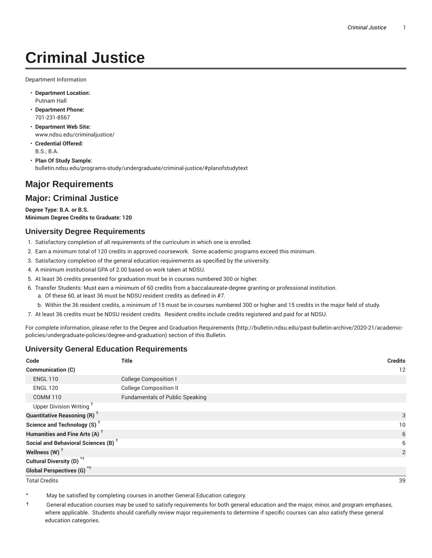# **Criminal Justice**

Department Information

- **Department Location:** Putnam Hall
- **Department Phone:** 701-231-8567
- **Department Web Site:** www.ndsu.edu/criminaljustice/
- **Credential Offered:** B.S.; B.A.
- **Plan Of Study Sample:** bulletin.ndsu.edu/programs-study/undergraduate/criminal-justice/#planofstudytext

# **Major Requirements**

## **Major: Criminal Justice**

**Degree Type: B.A. or B.S. Minimum Degree Credits to Graduate: 120**

#### **University Degree Requirements**

- 1. Satisfactory completion of all requirements of the curriculum in which one is enrolled.
- 2. Earn a minimum total of 120 credits in approved coursework. Some academic programs exceed this minimum.
- 3. Satisfactory completion of the general education requirements as specified by the university.
- 4. A minimum institutional GPA of 2.00 based on work taken at NDSU.
- 5. At least 36 credits presented for graduation must be in courses numbered 300 or higher.
- 6. Transfer Students: Must earn a minimum of 60 credits from a baccalaureate-degree granting or professional institution.
	- a. Of these 60, at least 36 must be NDSU resident credits as defined in #7.
	- b. Within the 36 resident credits, a minimum of 15 must be in courses numbered 300 or higher and 15 credits in the major field of study.
- 7. At least 36 credits must be NDSU resident credits. Resident credits include credits registered and paid for at NDSU.

For complete information, please refer to the Degree and Graduation Requirements (http://bulletin.ndsu.edu/past-bulletin-archive/2020-21/academicpolicies/undergraduate-policies/degree-and-graduation) section of this Bulletin.

#### **University General Education Requirements**

| Code                                            | <b>Title</b>                           | <b>Credits</b> |
|-------------------------------------------------|----------------------------------------|----------------|
| Communication (C)                               |                                        | 12             |
| <b>ENGL 110</b>                                 | <b>College Composition I</b>           |                |
| <b>ENGL 120</b>                                 | <b>College Composition II</b>          |                |
| <b>COMM 110</b>                                 | <b>Fundamentals of Public Speaking</b> |                |
| Upper Division Writing <sup>+</sup>             |                                        |                |
| <b>Quantitative Reasoning (R)</b> <sup>†</sup>  |                                        | 3              |
| Science and Technology (S) <sup>+</sup>         |                                        | 10             |
| Humanities and Fine Arts (A) <sup>+</sup>       |                                        | 6              |
| Social and Behavioral Sciences (B) <sup>+</sup> |                                        | 6              |
| Wellness $(W)$ <sup>+</sup>                     |                                        | 2              |
| Cultural Diversity (D) <sup>*†</sup>            |                                        |                |
| <b>Global Perspectives (G)<sup>*†</sup></b>     |                                        |                |

Total Credits 39

May be satisfied by completing courses in another General Education category.

† General education courses may be used to satisfy requirements for both general education and the major, minor, and program emphases, where applicable. Students should carefully review major requirements to determine if specific courses can also satisfy these general education categories.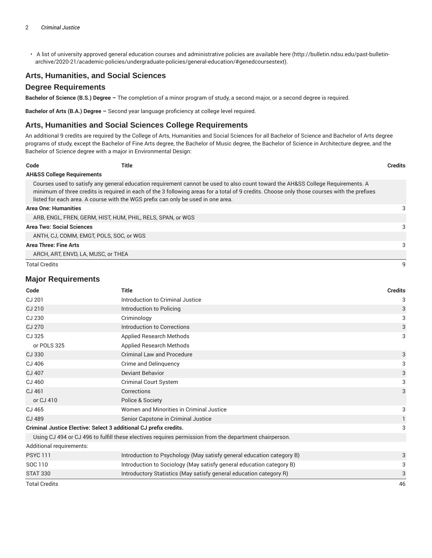• A list of university approved general education courses and administrative policies are available here (http://bulletin.ndsu.edu/past-bulletinarchive/2020-21/academic-policies/undergraduate-policies/general-education/#genedcoursestext).

#### **Arts, Humanities, and Social Sciences**

#### **Degree Requirements**

**Bachelor of Science (B.S.) Degree –** The completion of a minor program of study, a second major, or a second degree is required.

**Bachelor of Arts (B.A.) Degree –** Second year language proficiency at college level required.

#### **Arts, Humanities and Social Sciences College Requirements**

An additional 9 credits are required by the College of Arts, Humanities and Social Sciences for all Bachelor of Science and Bachelor of Arts degree programs of study, except the Bachelor of Fine Arts degree, the Bachelor of Music degree, the Bachelor of Science in Architecture degree, and the Bachelor of Science degree with a major in Environmental Design:

| Code                                  | Title                                                                            |                                                                                                                                                                                                                                                                                | <b>Credits</b> |
|---------------------------------------|----------------------------------------------------------------------------------|--------------------------------------------------------------------------------------------------------------------------------------------------------------------------------------------------------------------------------------------------------------------------------|----------------|
| <b>AH&amp;SS College Requirements</b> |                                                                                  |                                                                                                                                                                                                                                                                                |                |
|                                       | listed for each area. A course with the WGS prefix can only be used in one area. | Courses used to satisfy any general education requirement cannot be used to also count toward the AH&SS College Requirements. A<br>minimum of three credits is required in each of the 3 following areas for a total of 9 credits. Choose only those courses with the prefixes |                |
| <b>Area One: Humanities</b>           |                                                                                  |                                                                                                                                                                                                                                                                                | 3              |
|                                       | ARB, ENGL, FREN, GERM, HIST, HUM, PHIL, RELS, SPAN, or WGS                       |                                                                                                                                                                                                                                                                                |                |
| <b>Area Two: Social Sciences</b>      |                                                                                  |                                                                                                                                                                                                                                                                                | 3              |
|                                       | ANTH. CJ. COMM. EMGT. POLS. SOC. or WGS.                                         |                                                                                                                                                                                                                                                                                |                |
| <b>Area Three: Fine Arts</b>          |                                                                                  |                                                                                                                                                                                                                                                                                | 3              |
|                                       | ARCH, ART, ENVD, LA, MUSC, or THEA                                               |                                                                                                                                                                                                                                                                                |                |
| <b>Total Credits</b>                  |                                                                                  |                                                                                                                                                                                                                                                                                |                |

#### **Major Requirements**

| Code                                                              | <b>Title</b>                                                                                           | <b>Credits</b> |
|-------------------------------------------------------------------|--------------------------------------------------------------------------------------------------------|----------------|
| CJ 201                                                            | Introduction to Criminal Justice                                                                       | 3              |
| CJ 210                                                            | Introduction to Policing                                                                               | 3              |
| CJ 230                                                            | Criminology                                                                                            | 3              |
| <b>CJ 270</b>                                                     | Introduction to Corrections                                                                            | 3              |
| CJ 325                                                            | <b>Applied Research Methods</b>                                                                        | 3              |
| or POLS 325                                                       | <b>Applied Research Methods</b>                                                                        |                |
| <b>CJ330</b>                                                      | <b>Criminal Law and Procedure</b>                                                                      | 3              |
| CJ 406                                                            | Crime and Delinguency                                                                                  | 3              |
| CJ 407                                                            | Deviant Behavior                                                                                       | 3              |
| CJ 460                                                            | Criminal Court System                                                                                  | 3              |
| CJ 461                                                            | Corrections                                                                                            | 3              |
| or CJ 410                                                         | Police & Society                                                                                       |                |
| CJ 465                                                            | Women and Minorities in Criminal Justice                                                               | 3              |
| CJ 489                                                            | Senior Capstone in Criminal Justice                                                                    |                |
| Criminal Justice Elective: Select 3 additional CJ prefix credits. |                                                                                                        |                |
|                                                                   | Using CJ 494 or CJ 496 to fulfill these electives requires permission from the department chairperson. |                |
| Additional requirements:                                          |                                                                                                        |                |
| <b>PSYC 111</b>                                                   | Introduction to Psychology (May satisfy general education category B)                                  | 3              |
| SOC 110                                                           | Introduction to Sociology (May satisfy general education category B)                                   | 3              |
| <b>STAT 330</b>                                                   | Introductory Statistics (May satisfy general education category R)                                     | 3              |

Total Credits 46